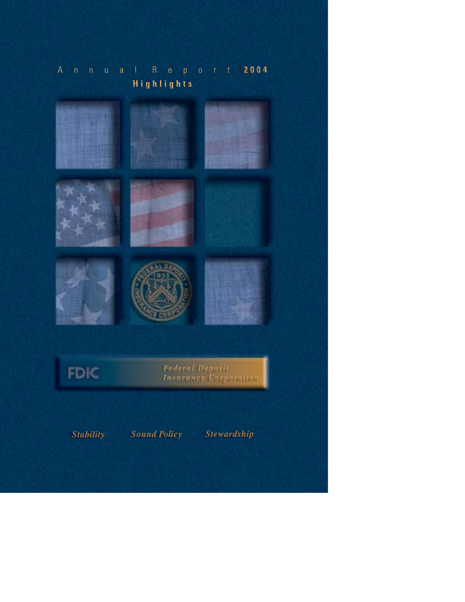## Annual Report 2004 **Highlights**





Federal Deposit<br>Insurance Corporation

**Stability Sound Policy Stewardship**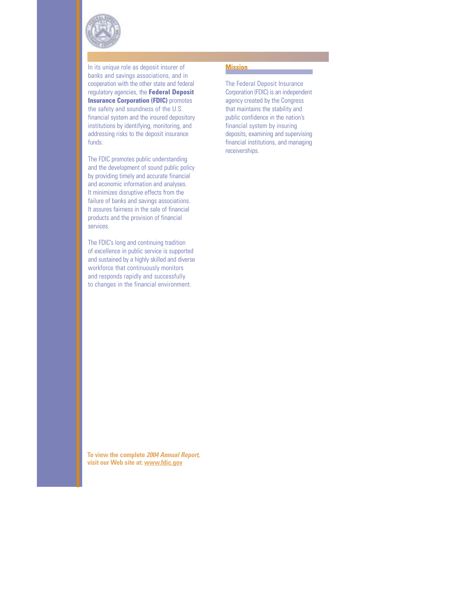

In its unique role as deposit insurer of banks and savings associations, and in cooperation with the other state and federal regulatory agencies, the **Federal Deposit Insurance Corporation (FDIC)** promotes the safety and soundness of the U.S. financial system and the insured depository institutions by identifying, monitoring, and addressing risks to the deposit insurance funds.

The FDIC promotes public understanding and the development of sound public policy by providing timely and accurate financial and economic information and analyses. It minimizes disruptive effects from the failure of banks and savings associations. It assures fairness in the sale of financial products and the provision of financial services.

The FDIC's long and continuing tradition of excellence in public service is supported and sustained by a highly skilled and diverse workforce that continuously monitors and responds rapidly and successfully to changes in the financial environment.

## **Mission**

The Federal Deposit Insurance Corporation (FDIC) is an independent agency created by the Congress that maintains the stability and public confidence in the nation's financial system by insuring deposits, examining and supervising financial institutions, and managing receiverships.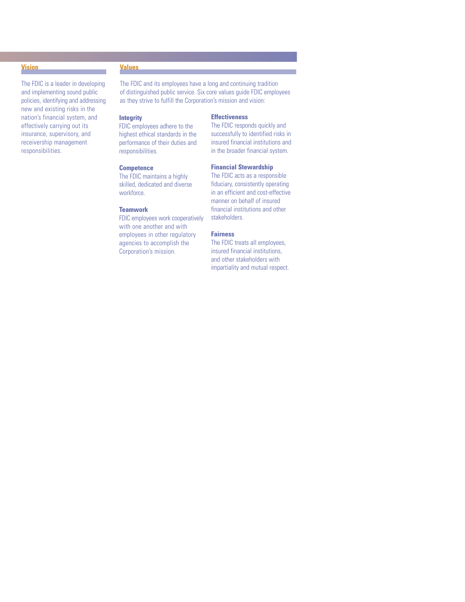#### **Vision**

The FDIC is a leader in developing and implementing sound public policies, identifying and addressing new and existing risks in the nation's financial system, and effectively carrying out its insurance, supervisory, and receivership management responsibilities.

#### **Values**

The FDIC and its employees have a long and continuing tradition of distinguished public service. Six core values guide FDIC employees as they strive to fulfill the Corporation's mission and vision:

## **Integrity**

FDIC employees adhere to the highest ethical standards in the performance of their duties and responsibilities.

#### **Competence**

The FDIC maintains a highly skilled, dedicated and diverse workforce.

#### **Teamwork**

FDIC employees work cooperatively with one another and with employees in other regulatory agencies to accomplish the Corporation's mission.

#### **Effectiveness**

The FDIC responds quickly and successfully to identified risks in insured financial institutions and in the broader financial system.

#### **Financial Stewardship**

The FDIC acts as a responsible fiduciary, consistently operating in an efficient and cost-effective manner on behalf of insured financial institutions and other stakeholders.

## **Fairness**

The FDIC treats all employees, insured financial institutions, and other stakeholders with impartiality and mutual respect.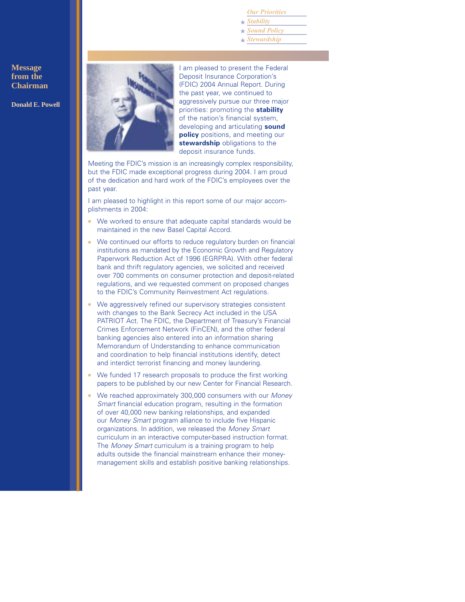*Our Priorities*

*Stability* ★

*Sound Policy* ★

*Stewardship* ★

## **Message from the Chairman**

**Donald E. Powell**



I am pleased to present the Federal Deposit Insurance Corporation's (FDIC) 2004 Annual Report. During the past year, we continued to aggressively pursue our three major priorities: promoting the **stability** of the nation's financial system, developing and articulating **sound policy** positions, and meeting our **stewardship** obligations to the deposit insurance funds.

Meeting the FDIC's mission is an increasingly complex responsibility, but the FDIC made exceptional progress during 2004. I am proud of the dedication and hard work of the FDIC's employees over the past year.

I am pleased to highlight in this report some of our major accomplishments in 2004:

- We worked to ensure that adequate capital standards would be maintained in the new Basel Capital Accord.
- We continued our efforts to reduce regulatory burden on financial institutions as mandated by the Economic Growth and Regulatory Paperwork Reduction Act of 1996 (EGRPRA). With other federal bank and thrift regulatory agencies, we solicited and received over 700 comments on consumer protection and deposit-related regulations, and we requested comment on proposed changes to the FDIC's Community Reinvestment Act regulations.
- We aggressively refined our supervisory strategies consistent with changes to the Bank Secrecy Act included in the USA PATRIOT Act. The FDIC, the Department of Treasury's Financial Crimes Enforcement Network (FinCEN), and the other federal banking agencies also entered into an information sharing Memorandum of Understanding to enhance communication and coordination to help financial institutions identify, detect and interdict terrorist financing and money laundering.
- We funded 17 research proposals to produce the first working papers to be published by our new Center for Financial Research.
- We reached approximately 300,000 consumers with our *Money Smart* financial education program, resulting in the formation of over 40,000 new banking relationships, and expanded our *Money Smart* program alliance to include five Hispanic organizations. In addition, we released the *Money Smart* curriculum in an interactive computer-based instruction format. The *Money Smart* curriculum is a training program to help adults outside the financial mainstream enhance their moneymanagement skills and establish positive banking relationships.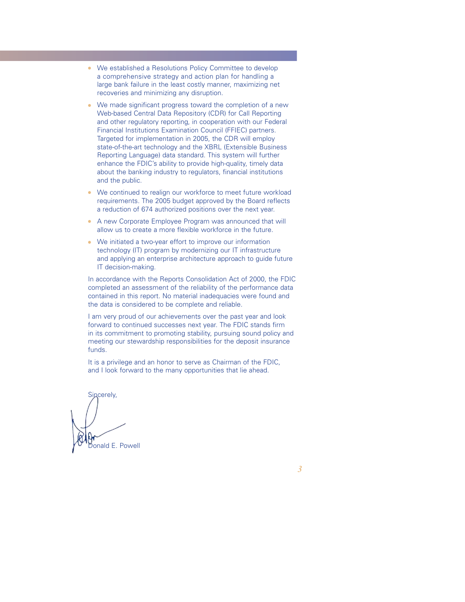- We established a Resolutions Policy Committee to develop a comprehensive strategy and action plan for handling a large bank failure in the least costly manner, maximizing net recoveries and minimizing any disruption.
- We made significant progress toward the completion of a new Web-based Central Data Repository (CDR) for Call Reporting and other regulatory reporting, in cooperation with our Federal Financial Institutions Examination Council (FFIEC) partners. Targeted for implementation in 2005, the CDR will employ state-of-the-art technology and the XBRL (Extensible Business Reporting Language) data standard. This system will further enhance the FDIC's ability to provide high-quality, timely data about the banking industry to regulators, financial institutions and the public.
- We continued to realign our workforce to meet future workload requirements. The 2005 budget approved by the Board reflects a reduction of 674 authorized positions over the next year.
- A new Corporate Employee Program was announced that will allow us to create a more flexible workforce in the future.
- We initiated a two-year effort to improve our information technology (IT) program by modernizing our IT infrastructure and applying an enterprise architecture approach to guide future IT decision-making.

In accordance with the Reports Consolidation Act of 2000, the FDIC completed an assessment of the reliability of the performance data contained in this report. No material inadequacies were found and the data is considered to be complete and reliable.

I am very proud of our achievements over the past year and look forward to continued successes next year. The FDIC stands firm in its commitment to promoting stability, pursuing sound policy and meeting our stewardship responsibilities for the deposit insurance funds.

It is a privilege and an honor to serve as Chairman of the FDIC, and I look forward to the many opportunities that lie ahead.

Sincerely, onald E. Powell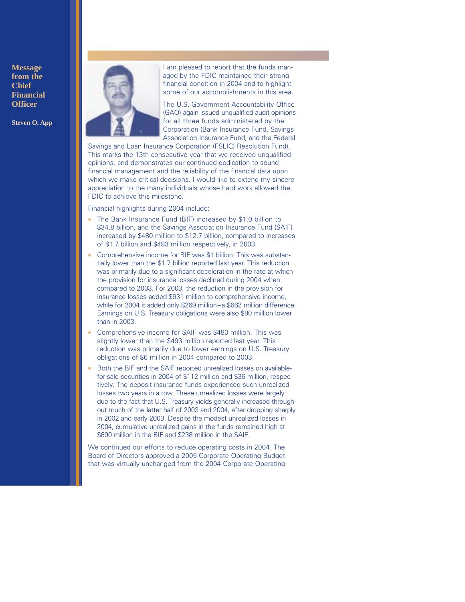**Message from the Chief Financial Officer**

**Steven O. App**



I am pleased to report that the funds managed by the FDIC maintained their strong financial condition in 2004 and to highlight some of our accomplishments in this area.

The U.S. Government Accountability Office (GAO) again issued unqualified audit opinions for all three funds administered by the Corporation (Bank Insurance Fund, Savings Association Insurance Fund, and the Federal

Savings and Loan Insurance Corporation (FSLIC) Resolution Fund). This marks the 13th consecutive year that we received unqualified opinions, and demonstrates our continued dedication to sound financial management and the reliability of the financial data upon which we make critical decisions. I would like to extend my sincere appreciation to the many individuals whose hard work allowed the FDIC to achieve this milestone.

Financial highlights during 2004 include:

- The Bank Insurance Fund (BIF) increased by \$1.0 billion to \$34.8 billion, and the Savings Association Insurance Fund (SAIF) increased by \$480 million to \$12.7 billion, compared to increases of \$1.7 billion and \$493 million respectively, in 2003.
- Comprehensive income for BIF was \$1 billion. This was substantially lower than the \$1.7 billion reported last year. This reduction was primarily due to a significant deceleration in the rate at which the provision for insurance losses declined during 2004 when compared to 2003. For 2003, the reduction in the provision for insurance losses added \$931 million to comprehensive income, while for 2004 it added only \$269 million–a \$662 million difference. Earnings on U.S. Treasury obligations were also \$80 million lower than in 2003.
- Comprehensive income for SAIF was \$480 million. This was slightly lower than the \$493 million reported last year. This reduction was primarily due to lower earnings on U.S. Treasury obligations of \$6 million in 2004 compared to 2003.
- Both the BIF and the SAIF reported unrealized losses on availablefor-sale securities in 2004 of \$112 million and \$36 million, respectively. The deposit insurance funds experienced such unrealized losses two years in a row. These unrealized losses were largely due to the fact that U.S. Treasury yields generally increased throughout much of the latter half of 2003 and 2004, after dropping sharply in 2002 and early 2003. Despite the modest unrealized losses in 2004, cumulative unrealized gains in the funds remained high at \$690 million in the BIF and \$238 million in the SAIF.

We continued our efforts to reduce operating costs in 2004. The Board of Directors approved a 2005 Corporate Operating Budget that was virtually unchanged from the 2004 Corporate Operating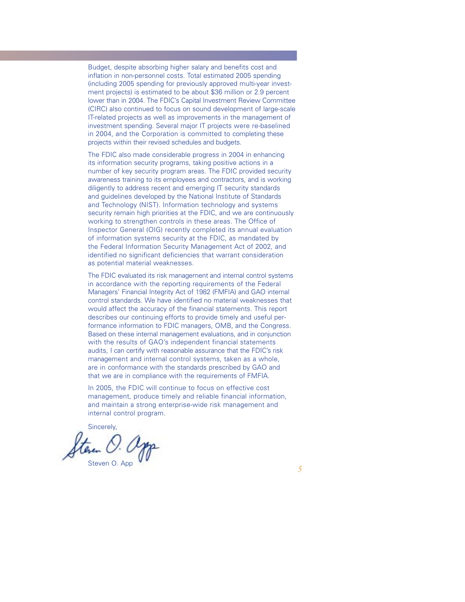Budget, despite absorbing higher salary and benefits cost and inflation in non-personnel costs. Total estimated 2005 spending (including 2005 spending for previously approved multi-year investment projects) is estimated to be about \$36 million or 2.9 percent lower than in 2004. The FDIC's Capital Investment Review Committee (CIRC) also continued to focus on sound development of large-scale IT-related projects as well as improvements in the management of investment spending. Several major IT projects were re-baselined in 2004, and the Corporation is committed to completing these projects within their revised schedules and budgets.

The FDIC also made considerable progress in 2004 in enhancing its information security programs, taking positive actions in a number of key security program areas. The FDIC provided security awareness training to its employees and contractors, and is working diligently to address recent and emerging IT security standards and guidelines developed by the National Institute of Standards and Technology (NIST). Information technology and systems security remain high priorities at the FDIC, and we are continuously working to strengthen controls in these areas. The Office of Inspector General (OIG) recently completed its annual evaluation of information systems security at the FDIC, as mandated by the Federal Information Security Management Act of 2002, and identified no significant deficiencies that warrant consideration as potential material weaknesses.

The FDIC evaluated its risk management and internal control systems in accordance with the reporting requirements of the Federal Managers' Financial Integrity Act of 1982 (FMFIA) and GAO internal control standards. We have identified no material weaknesses that would affect the accuracy of the financial statements. This report describes our continuing efforts to provide timely and useful performance information to FDIC managers, OMB, and the Congress. Based on these internal management evaluations, and in conjunction with the results of GAO's independent financial statements audits, I can certify with reasonable assurance that the FDIC's risk management and internal control systems, taken as a whole, are in conformance with the standards prescribed by GAO and that we are in compliance with the requirements of FMFIA.

In 2005, the FDIC will continue to focus on effective cost management, produce timely and reliable financial information, and maintain a strong enterprise-wide risk management and internal control program.

Sincerely,

Steven O. App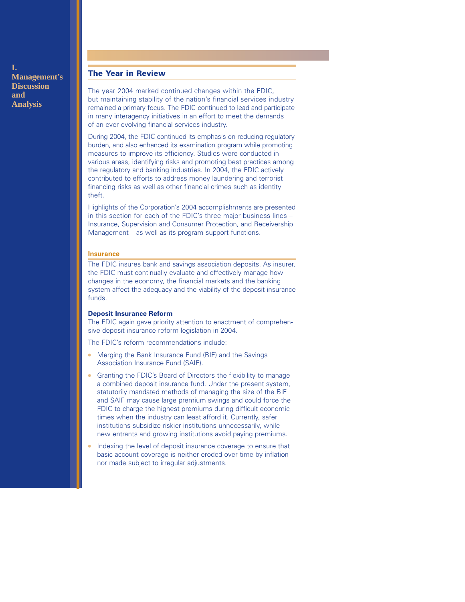**I. Management's Discussion and Analysis**

## **The Year in Review**

The year 2004 marked continued changes within the FDIC, but maintaining stability of the nation's financial services industry remained a primary focus. The FDIC continued to lead and participate in many interagency initiatives in an effort to meet the demands of an ever evolving financial services industry.

During 2004, the FDIC continued its emphasis on reducing regulatory burden, and also enhanced its examination program while promoting measures to improve its efficiency. Studies were conducted in various areas, identifying risks and promoting best practices among the regulatory and banking industries. In 2004, the FDIC actively contributed to efforts to address money laundering and terrorist financing risks as well as other financial crimes such as identity theft.

Highlights of the Corporation's 2004 accomplishments are presented in this section for each of the FDIC's three major business lines – Insurance, Supervision and Consumer Protection, and Receivership Management – as well as its program support functions.

#### **Insurance**

The FDIC insures bank and savings association deposits. As insurer, the FDIC must continually evaluate and effectively manage how changes in the economy, the financial markets and the banking system affect the adequacy and the viability of the deposit insurance funds.

## **Deposit Insurance Reform**

The FDIC again gave priority attention to enactment of comprehensive deposit insurance reform legislation in 2004.

The FDIC's reform recommendations include:

- Merging the Bank Insurance Fund (BIF) and the Savings Association Insurance Fund (SAIF).
- Granting the FDIC's Board of Directors the flexibility to manage a combined deposit insurance fund. Under the present system, statutorily mandated methods of managing the size of the BIF and SAIF may cause large premium swings and could force the FDIC to charge the highest premiums during difficult economic times when the industry can least afford it. Currently, safer institutions subsidize riskier institutions unnecessarily, while new entrants and growing institutions avoid paying premiums.
- Indexing the level of deposit insurance coverage to ensure that basic account coverage is neither eroded over time by inflation nor made subject to irregular adjustments.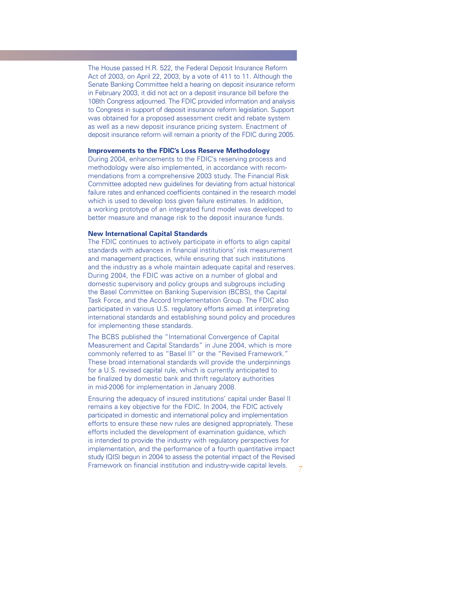The House passed H.R. 522, the Federal Deposit Insurance Reform Act of 2003, on April 22, 2003, by a vote of 411 to 11. Although the Senate Banking Committee held a hearing on deposit insurance reform in February 2003, it did not act on a deposit insurance bill before the 108th Congress adjourned. The FDIC provided information and analysis to Congress in support of deposit insurance reform legislation. Support was obtained for a proposed assessment credit and rebate system as well as a new deposit insurance pricing system. Enactment of deposit insurance reform will remain a priority of the FDIC during 2005.

#### **Improvements to the FDIC's Loss Reserve Methodology**

During 2004, enhancements to the FDIC's reserving process and methodology were also implemented, in accordance with recommendations from a comprehensive 2003 study. The Financial Risk Committee adopted new guidelines for deviating from actual historical failure rates and enhanced coefficients contained in the research model which is used to develop loss given failure estimates. In addition, a working prototype of an integrated fund model was developed to better measure and manage risk to the deposit insurance funds.

#### **New International Capital Standards**

The FDIC continues to actively participate in efforts to align capital standards with advances in financial institutions' risk measurement and management practices, while ensuring that such institutions and the industry as a whole maintain adequate capital and reserves. During 2004, the FDIC was active on a number of global and domestic supervisory and policy groups and subgroups including the Basel Committee on Banking Supervision (BCBS), the Capital Task Force, and the Accord Implementation Group. The FDIC also participated in various U.S. regulatory efforts aimed at interpreting international standards and establishing sound policy and procedures for implementing these standards.

The BCBS published the "International Convergence of Capital Measurement and Capital Standards" in June 2004, which is more commonly referred to as "Basel II" or the "Revised Framework." These broad international standards will provide the underpinnings for a U.S. revised capital rule, which is currently anticipated to be finalized by domestic bank and thrift regulatory authorities in mid-2006 for implementation in January 2008.

Ensuring the adequacy of insured institutions' capital under Basel II remains a key objective for the FDIC. In 2004, the FDIC actively participated in domestic and international policy and implementation efforts to ensure these new rules are designed appropriately. These efforts included the development of examination guidance, which is intended to provide the industry with regulatory perspectives for implementation, and the performance of a fourth quantitative impact study (QIS) begun in 2004 to assess the potential impact of the Revised Framework on financial institution and industry-wide capital levels.

*7*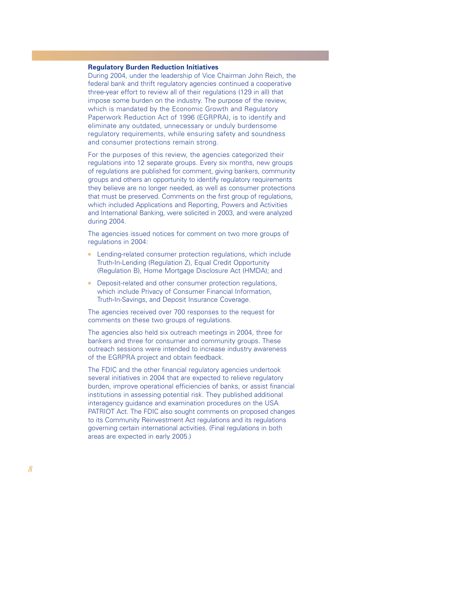## **Regulatory Burden Reduction Initiatives**

During 2004, under the leadership of Vice Chairman John Reich, the federal bank and thrift regulatory agencies continued a cooperative three-year effort to review all of their regulations (129 in all) that impose some burden on the industry. The purpose of the review, which is mandated by the Economic Growth and Regulatory Paperwork Reduction Act of 1996 (EGRPRA), is to identify and eliminate any outdated, unnecessary or unduly burdensome regulatory requirements, while ensuring safety and soundness and consumer protections remain strong.

For the purposes of this review, the agencies categorized their regulations into 12 separate groups. Every six months, new groups of regulations are published for comment, giving bankers, community groups and others an opportunity to identify regulatory requirements they believe are no longer needed, as well as consumer protections that must be preserved. Comments on the first group of regulations, which included Applications and Reporting, Powers and Activities and International Banking, were solicited in 2003, and were analyzed during 2004.

The agencies issued notices for comment on two more groups of regulations in 2004:

- Lending-related consumer protection regulations, which include Truth-In-Lending (Regulation Z), Equal Credit Opportunity (Regulation B), Home Mortgage Disclosure Act (HMDA); and
- Deposit-related and other consumer protection regulations, which include Privacy of Consumer Financial Information, Truth-In-Savings, and Deposit Insurance Coverage.

The agencies received over 700 responses to the request for comments on these two groups of regulations.

The agencies also held six outreach meetings in 2004, three for bankers and three for consumer and community groups. These outreach sessions were intended to increase industry awareness of the EGRPRA project and obtain feedback.

The FDIC and the other financial regulatory agencies undertook several initiatives in 2004 that are expected to relieve regulatory burden, improve operational efficiencies of banks, or assist financial institutions in assessing potential risk. They published additional interagency guidance and examination procedures on the USA PATRIOT Act. The FDIC also sought comments on proposed changes to its Community Reinvestment Act regulations and its regulations governing certain international activities. (Final regulations in both areas are expected in early 2005.)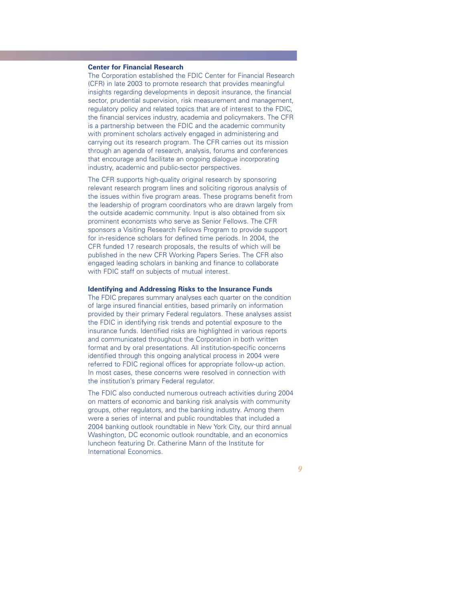## **Center for Financial Research**

The Corporation established the FDIC Center for Financial Research (CFR) in late 2003 to promote research that provides meaningful insights regarding developments in deposit insurance, the financial sector, prudential supervision, risk measurement and management, regulatory policy and related topics that are of interest to the FDIC, the financial services industry, academia and policymakers. The CFR is a partnership between the FDIC and the academic community with prominent scholars actively engaged in administering and carrying out its research program. The CFR carries out its mission through an agenda of research, analysis, forums and conferences that encourage and facilitate an ongoing dialogue incorporating industry, academic and public-sector perspectives.

The CFR supports high-quality original research by sponsoring relevant research program lines and soliciting rigorous analysis of the issues within five program areas. These programs benefit from the leadership of program coordinators who are drawn largely from the outside academic community. Input is also obtained from six prominent economists who serve as Senior Fellows. The CFR sponsors a Visiting Research Fellows Program to provide support for in-residence scholars for defined time periods. In 2004, the CFR funded 17 research proposals, the results of which will be published in the new CFR Working Papers Series. The CFR also engaged leading scholars in banking and finance to collaborate with FDIC staff on subjects of mutual interest.

## **Identifying and Addressing Risks to the Insurance Funds**

The FDIC prepares summary analyses each quarter on the condition of large insured financial entities, based primarily on information provided by their primary Federal regulators. These analyses assist the FDIC in identifying risk trends and potential exposure to the insurance funds. Identified risks are highlighted in various reports and communicated throughout the Corporation in both written format and by oral presentations. All institution-specific concerns identified through this ongoing analytical process in 2004 were referred to FDIC regional offices for appropriate follow-up action. In most cases, these concerns were resolved in connection with the institution's primary Federal regulator.

The FDIC also conducted numerous outreach activities during 2004 on matters of economic and banking risk analysis with community groups, other regulators, and the banking industry. Among them were a series of internal and public roundtables that included a 2004 banking outlook roundtable in New York City, our third annual Washington, DC economic outlook roundtable, and an economics luncheon featuring Dr. Catherine Mann of the Institute for International Economics.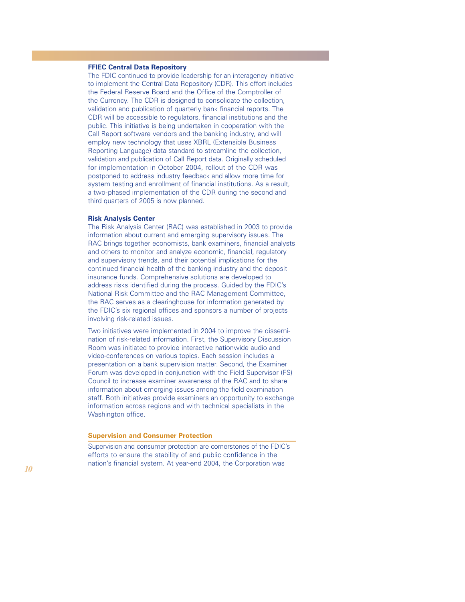## **FFIEC Central Data Repository**

The FDIC continued to provide leadership for an interagency initiative to implement the Central Data Repository (CDR). This effort includes the Federal Reserve Board and the Office of the Comptroller of the Currency. The CDR is designed to consolidate the collection, validation and publication of quarterly bank financial reports. The CDR will be accessible to regulators, financial institutions and the public. This initiative is being undertaken in cooperation with the Call Report software vendors and the banking industry, and will employ new technology that uses XBRL (Extensible Business Reporting Language) data standard to streamline the collection, validation and publication of Call Report data. Originally scheduled for implementation in October 2004, rollout of the CDR was postponed to address industry feedback and allow more time for system testing and enrollment of financial institutions. As a result, a two-phased implementation of the CDR during the second and third quarters of 2005 is now planned.

#### **Risk Analysis Center**

The Risk Analysis Center (RAC) was established in 2003 to provide information about current and emerging supervisory issues. The RAC brings together economists, bank examiners, financial analysts and others to monitor and analyze economic, financial, regulatory and supervisory trends, and their potential implications for the continued financial health of the banking industry and the deposit insurance funds. Comprehensive solutions are developed to address risks identified during the process. Guided by the FDIC's National Risk Committee and the RAC Management Committee, the RAC serves as a clearinghouse for information generated by the FDIC's six regional offices and sponsors a number of projects involving risk-related issues.

Two initiatives were implemented in 2004 to improve the dissemination of risk-related information. First, the Supervisory Discussion Room was initiated to provide interactive nationwide audio and video-conferences on various topics. Each session includes a presentation on a bank supervision matter. Second, the Examiner Forum was developed in conjunction with the Field Supervisor (FS) Council to increase examiner awareness of the RAC and to share information about emerging issues among the field examination staff. Both initiatives provide examiners an opportunity to exchange information across regions and with technical specialists in the Washington office.

#### **Supervision and Consumer Protection**

Supervision and consumer protection are cornerstones of the FDIC's efforts to ensure the stability of and public confidence in the nation's financial system. At year-end 2004, the Corporation was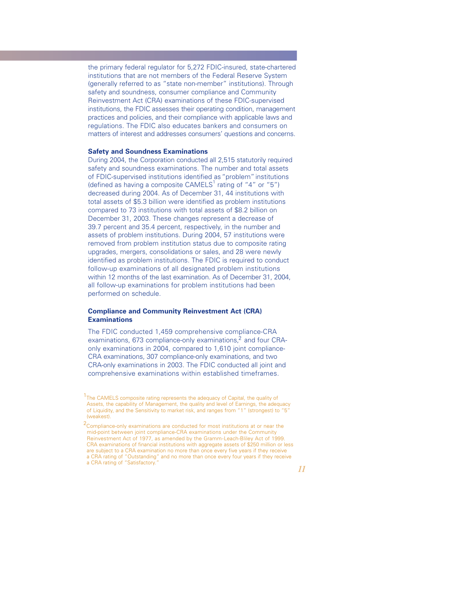the primary federal regulator for 5,272 FDIC-insured, state-chartered institutions that are not members of the Federal Reserve System (generally referred to as "state non-member" institutions). Through safety and soundness, consumer compliance and Community Reinvestment Act (CRA) examinations of these FDIC-supervised institutions, the FDIC assesses their operating condition, management practices and policies, and their compliance with applicable laws and regulations. The FDIC also educates bankers and consumers on matters of interest and addresses consumers' questions and concerns.

## **Safety and Soundness Examinations**

During 2004, the Corporation conducted all 2,515 statutorily required safety and soundness examinations. The number and total assets of FDIC-supervised institutions identified as "problem"institutions (defined as having a composite  $CAMELS<sup>1</sup>$  rating of "4" or "5") decreased during 2004. As of December 31, 44 institutions with total assets of \$5.3 billion were identified as problem institutions compared to 73 institutions with total assets of \$8.2 billion on December 31, 2003. These changes represent a decrease of 39.7 percent and 35.4 percent, respectively, in the number and assets of problem institutions. During 2004, 57 institutions were removed from problem institution status due to composite rating upgrades, mergers, consolidations or sales, and 28 were newly identified as problem institutions. The FDIC is required to conduct follow-up examinations of all designated problem institutions within 12 months of the last examination. As of December 31, 2004, all follow-up examinations for problem institutions had been performed on schedule.

## **Compliance and Community Reinvestment Act (CRA) Examinations**

The FDIC conducted 1,459 comprehensive compliance-CRA examinations, 673 compliance-only examinations,<sup>2</sup> and four CRAonly examinations in 2004, compared to 1,610 joint compliance-CRA examinations, 307 compliance-only examinations, and two CRA-only examinations in 2003. The FDIC conducted all joint and comprehensive examinations within established timeframes.

<sup>&</sup>lt;sup>1</sup>The CAMELS composite rating represents the adequacy of Capital, the quality of Assets, the capability of Management, the quality and level of Earnings, the adequacy of Liquidity, and the Sensitivity to market risk, and ranges from "1" (strongest) to "5" (weakest).

<sup>&</sup>lt;sup>2</sup> Compliance-only examinations are conducted for most institutions at or near the mid-point between joint compliance-CRA examinations under the Community Reinvestment Act of 1977, as amended by the Gramm-Leach-Bliley Act of 1999. CRA examinations of financial institutions with aggregate assets of \$250 million or less are subject to a CRA examination no more than once every five years if they receive a CRA rating of "Outstanding" and no more than once every four years if they receive a CRA rating of "Satisfactory."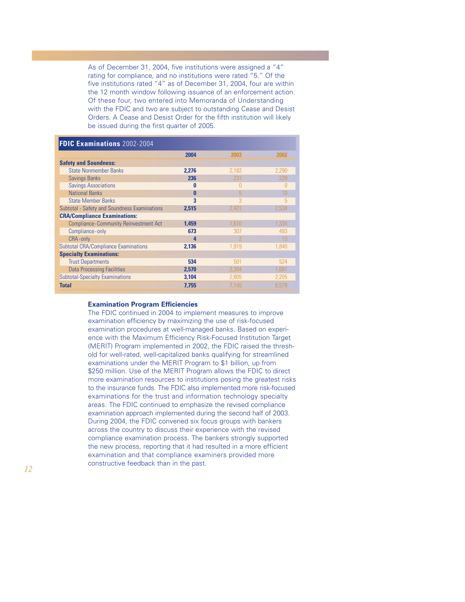As of December 31, 2004, five institutions were assigned a "4" rating for compliance, and no institutions were rated "5." Of the five institutions rated "4" as of December 31, 2004, four are within the 12 month window following issuance of an enforcement action. Of these four, two entered into Memoranda of Understanding with the FDIC and two are subject to outstanding Cease and Desist Orders. A Cease and Desist Order for the fifth institution will likely be issued during the first quarter of 2005.

## **FDIC Examinations** 2002-2004

|                                              | 2004         | 2003  | 2002  |
|----------------------------------------------|--------------|-------|-------|
| <b>Safety and Soundness:</b>                 |              |       |       |
| <b>State Nonmember Banks</b>                 | 2.276        | 2.182 | 2.290 |
| <b>Savings Banks</b>                         | 236          | 231   | 229   |
| <b>Savings Associations</b>                  | $\bf{0}$     | N     | 0     |
| <b>National Banks</b>                        | $\mathbf{0}$ | 5     | 10    |
| <b>State Member Banks</b>                    | 3            | 3     | 5     |
| Subtotal - Safety and Soundness Examinations | 2.515        | 2,421 | 2.534 |
| <b>CRA/Compliance Examinations:</b>          |              |       |       |
| <b>Compliance-Community Reinvestment Act</b> | 1.459        | 1.610 | 1.334 |
| Compliance-only                              | 673          | 307   | 493   |
| CRA-only                                     | 4            |       | 13    |
| <b>Subtotal CRA/Compliance Examinations</b>  | 2.136        | 1.919 | 1.840 |
| <b>Specialty Examinations:</b>               |              |       |       |
| <b>Trust Departments</b>                     | 534          | 501   | 524   |
| <b>Data Processing Facilities</b>            | 2.570        | 2.304 | 1.681 |
| <b>Subtotal-Specialty Examinations</b>       | 3.104        | 2.805 | 2.205 |
| <b>Total</b>                                 | 7,755        | 7.145 | 6.579 |

#### **Examination Program Efficiencies**

The FDIC continued in 2004 to implement measures to improve examination efficiency by maximizing the use of risk-focused examination procedures at well-managed banks. Based on experience with the Maximum Efficiency Risk-Focused Institution Target (MERIT) Program implemented in 2002, the FDIC raised the threshold for well-rated, well-capitalized banks qualifying for streamlined examinations under the MERIT Program to \$1 billion, up from \$250 million. Use of the MERIT Program allows the FDIC to direct more examination resources to institutions posing the greatest risks to the insurance funds. The FDIC also implemented more risk-focused examinations for the trust and information technology specialty areas. The FDIC continued to emphasize the revised compliance examination approach implemented during the second half of 2003. During 2004, the FDIC convened six focus groups with bankers across the country to discuss their experience with the revised compliance examination process. The bankers strongly supported the new process, reporting that it had resulted in a more efficient examination and that compliance examiners provided more constructive feedback than in the past.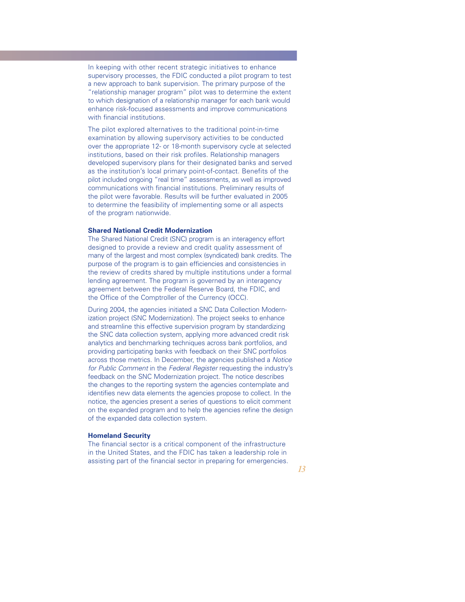In keeping with other recent strategic initiatives to enhance supervisory processes, the FDIC conducted a pilot program to test a new approach to bank supervision. The primary purpose of the "relationship manager program" pilot was to determine the extent to which designation of a relationship manager for each bank would enhance risk-focused assessments and improve communications with financial institutions.

The pilot explored alternatives to the traditional point-in-time examination by allowing supervisory activities to be conducted over the appropriate 12- or 18-month supervisory cycle at selected institutions, based on their risk profiles. Relationship managers developed supervisory plans for their designated banks and served as the institution's local primary point-of-contact. Benefits of the pilot included ongoing "real time" assessments, as well as improved communications with financial institutions. Preliminary results of the pilot were favorable. Results will be further evaluated in 2005 to determine the feasibility of implementing some or all aspects of the program nationwide.

## **Shared National Credit Modernization**

The Shared National Credit (SNC) program is an interagency effort designed to provide a review and credit quality assessment of many of the largest and most complex (syndicated) bank credits. The purpose of the program is to gain efficiencies and consistencies in the review of credits shared by multiple institutions under a formal lending agreement. The program is governed by an interagency agreement between the Federal Reserve Board, the FDIC, and the Office of the Comptroller of the Currency (OCC).

During 2004, the agencies initiated a SNC Data Collection Modernization project (SNC Modernization). The project seeks to enhance and streamline this effective supervision program by standardizing the SNC data collection system, applying more advanced credit risk analytics and benchmarking techniques across bank portfolios, and providing participating banks with feedback on their SNC portfolios across those metrics. In December, the agencies published a *Notice for Public Comment* in the *Federal Register* requesting the industry's feedback on the SNC Modernization project. The notice describes the changes to the reporting system the agencies contemplate and identifies new data elements the agencies propose to collect. In the notice, the agencies present a series of questions to elicit comment on the expanded program and to help the agencies refine the design of the expanded data collection system.

#### **Homeland Security**

The financial sector is a critical component of the infrastructure in the United States, and the FDIC has taken a leadership role in assisting part of the financial sector in preparing for emergencies.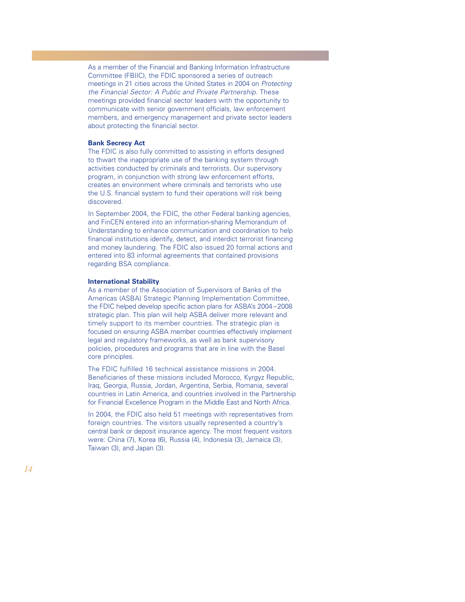As a member of the Financial and Banking Information Infrastructure Committee (FBIIC), the FDIC sponsored a series of outreach meetings in 21 cities across the United States in 2004 on *Protecting the Financial Sector: A Public and Private Partnership*. These meetings provided financial sector leaders with the opportunity to communicate with senior government officials, law enforcement members, and emergency management and private sector leaders about protecting the financial sector.

## **Bank Secrecy Act**

The FDIC is also fully committed to assisting in efforts designed to thwart the inappropriate use of the banking system through activities conducted by criminals and terrorists. Our supervisory program, in conjunction with strong law enforcement efforts, creates an environment where criminals and terrorists who use the U.S. financial system to fund their operations will risk being discovered.

In September 2004, the FDIC, the other Federal banking agencies, and FinCEN entered into an information-sharing Memorandum of Understanding to enhance communication and coordination to help financial institutions identify, detect, and interdict terrorist financing and money laundering. The FDIC also issued 20 formal actions and entered into 83 informal agreements that contained provisions regarding BSA compliance.

#### **International Stability**

As a member of the Association of Supervisors of Banks of the Americas (ASBA) Strategic Planning Implementation Committee, the FDIC helped develop specific action plans for ASBA's 2004 –2008 strategic plan. This plan will help ASBA deliver more relevant and timely support to its member countries. The strategic plan is focused on ensuring ASBA member countries effectively implement legal and regulatory frameworks, as well as bank supervisory policies, procedures and programs that are in line with the Basel core principles.

The FDIC fulfilled 16 technical assistance missions in 2004. Beneficiaries of these missions included Morocco, Kyrgyz Republic, Iraq, Georgia, Russia, Jordan, Argentina, Serbia, Romania, several countries in Latin America, and countries involved in the Partnership for Financial Excellence Program in the Middle East and North Africa.

In 2004, the FDIC also held 51 meetings with representatives from foreign countries. The visitors usually represented a country's central bank or deposit insurance agency. The most frequent visitors were: China (7), Korea (6), Russia (4), Indonesia (3), Jamaica (3), Taiwan (3), and Japan (3).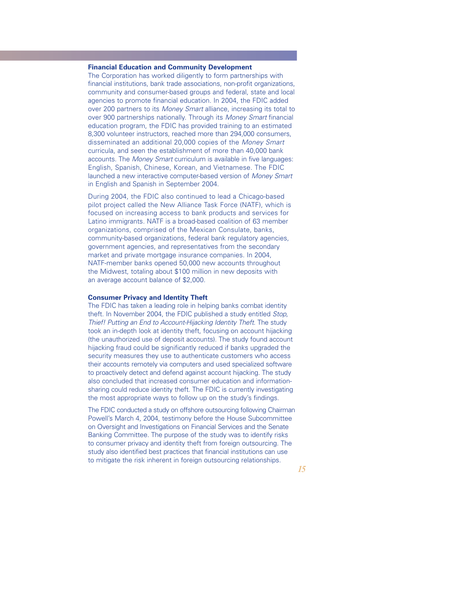## **Financial Education and Community Development**

The Corporation has worked diligently to form partnerships with financial institutions, bank trade associations, non-profit organizations, community and consumer-based groups and federal, state and local agencies to promote financial education. In 2004, the FDIC added over 200 partners to its *Money Smart* alliance, increasing its total to over 900 partnerships nationally. Through its *Money Smart* financial education program, the FDIC has provided training to an estimated 8,300 volunteer instructors, reached more than 294,000 consumers, disseminated an additional 20,000 copies of the *Money Smart* curricula, and seen the establishment of more than 40,000 bank accounts. The *Money Smart* curriculum is available in five languages: English, Spanish, Chinese, Korean, and Vietnamese. The FDIC launched a new interactive computer-based version of *Money Smart* in English and Spanish in September 2004.

During 2004, the FDIC also continued to lead a Chicago-based pilot project called the New Alliance Task Force (NATF), which is focused on increasing access to bank products and services for Latino immigrants. NATF is a broad-based coalition of 63 member organizations, comprised of the Mexican Consulate, banks, community-based organizations, federal bank regulatory agencies, government agencies, and representatives from the secondary market and private mortgage insurance companies. In 2004, NATF-member banks opened 50,000 new accounts throughout the Midwest, totaling about \$100 million in new deposits with an average account balance of \$2,000.

## **Consumer Privacy and Identity Theft**

The FDIC has taken a leading role in helping banks combat identity theft. In November 2004, the FDIC published a study entitled *Stop, Thief! Putting an End to Account-Hijacking Identity Theft*. The study took an in-depth look at identity theft, focusing on account hijacking (the unauthorized use of deposit accounts). The study found account hijacking fraud could be significantly reduced if banks upgraded the security measures they use to authenticate customers who access their accounts remotely via computers and used specialized software to proactively detect and defend against account hijacking. The study also concluded that increased consumer education and informationsharing could reduce identity theft. The FDIC is currently investigating the most appropriate ways to follow up on the study's findings.

The FDIC conducted a study on offshore outsourcing following Chairman Powell's March 4, 2004, testimony before the House Subcommittee on Oversight and Investigations on Financial Services and the Senate Banking Committee. The purpose of the study was to identify risks to consumer privacy and identity theft from foreign outsourcing. The study also identified best practices that financial institutions can use to mitigate the risk inherent in foreign outsourcing relationships.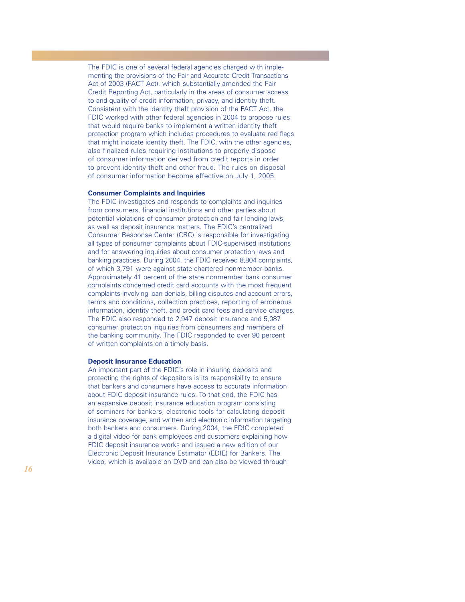The FDIC is one of several federal agencies charged with implementing the provisions of the Fair and Accurate Credit Transactions Act of 2003 (FACT Act), which substantially amended the Fair Credit Reporting Act, particularly in the areas of consumer access to and quality of credit information, privacy, and identity theft. Consistent with the identity theft provision of the FACT Act, the FDIC worked with other federal agencies in 2004 to propose rules that would require banks to implement a written identity theft protection program which includes procedures to evaluate red flags that might indicate identity theft. The FDIC, with the other agencies, also finalized rules requiring institutions to properly dispose of consumer information derived from credit reports in order to prevent identity theft and other fraud. The rules on disposal of consumer information become effective on July 1, 2005.

### **Consumer Complaints and Inquiries**

The FDIC investigates and responds to complaints and inquiries from consumers, financial institutions and other parties about potential violations of consumer protection and fair lending laws, as well as deposit insurance matters. The FDIC's centralized Consumer Response Center (CRC) is responsible for investigating all types of consumer complaints about FDIC-supervised institutions and for answering inquiries about consumer protection laws and banking practices. During 2004, the FDIC received 8,804 complaints, of which 3,791 were against state-chartered nonmember banks. Approximately 41 percent of the state nonmember bank consumer complaints concerned credit card accounts with the most frequent complaints involving loan denials, billing disputes and account errors, terms and conditions, collection practices, reporting of erroneous information, identity theft, and credit card fees and service charges. The FDIC also responded to 2,947 deposit insurance and 5,087 consumer protection inquiries from consumers and members of the banking community. The FDIC responded to over 90 percent of written complaints on a timely basis.

#### **Deposit Insurance Education**

An important part of the FDIC's role in insuring deposits and protecting the rights of depositors is its responsibility to ensure that bankers and consumers have access to accurate information about FDIC deposit insurance rules. To that end, the FDIC has an expansive deposit insurance education program consisting of seminars for bankers, electronic tools for calculating deposit insurance coverage, and written and electronic information targeting both bankers and consumers. During 2004, the FDIC completed a digital video for bank employees and customers explaining how FDIC deposit insurance works and issued a new edition of our Electronic Deposit Insurance Estimator (EDIE) for Bankers. The video, which is available on DVD and can also be viewed through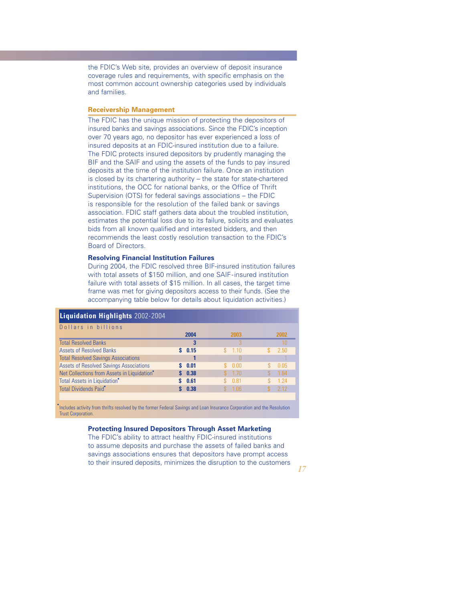the FDIC's Web site, provides an overview of deposit insurance coverage rules and requirements, with specific emphasis on the most common account ownership categories used by individuals and families.

#### **Receivership Management**

The FDIC has the unique mission of protecting the depositors of insured banks and savings associations. Since the FDIC's inception over 70 years ago, no depositor has ever experienced a loss of insured deposits at an FDIC-insured institution due to a failure. The FDIC protects insured depositors by prudently managing the BIF and the SAIF and using the assets of the funds to pay insured deposits at the time of the institution failure. Once an institution is closed by its chartering authority – the state for state-chartered institutions, the OCC for national banks, or the Office of Thrift Supervision (OTS) for federal savings associations – the FDIC is responsible for the resolution of the failed bank or savings association. FDIC staff gathers data about the troubled institution, estimates the potential loss due to its failure, solicits and evaluates bids from all known qualified and interested bidders, and then recommends the least costly resolution transaction to the FDIC's Board of Directors.

## **Resolving Financial Institution Failures**

During 2004, the FDIC resolved three BIF-insured institution failures with total assets of \$150 million, and one SAIF-insured institution failure with total assets of \$15 million. In all cases, the target time frame was met for giving depositors access to their funds. (See the accompanying table below for details about liquidation activities.)

| <b>Liquidation Highlights</b> 2002-2004        |      |         |    |       |
|------------------------------------------------|------|---------|----|-------|
| Dollars in billions                            | 2004 | 2003    |    | 2002  |
| <b>Total Resolved Banks</b>                    | 3    |         |    |       |
| <b>Assets of Resolved Banks</b>                | 0.15 | 1.10    | S. | 2.50  |
| <b>Total Resolved Savings Associations</b>     |      |         |    |       |
| <b>Assets of Resolved Savings Associations</b> | 0.01 | 0.00    |    | 0.05  |
| Net Collections from Assets in Liquidation*    | 0.38 | $-1.70$ |    | 1.84  |
| Total Assets in Liquidation <sup>*</sup>       | 0.61 | 0.81    |    | 1 2 4 |
| Total Dividends Paid <sup>®</sup>              | 0.38 | 106     |    | 2.12  |

Includes activity from thrifts resolved by the former Federal Savings and Loan Insurance Corporation and the Resolution Trust Corporation.

## **Protecting Insured Depositors Through Asset Marketing**

The FDIC's ability to attract healthy FDIC-insured institutions to assume deposits and purchase the assets of failed banks and savings associations ensures that depositors have prompt access to their insured deposits, minimizes the disruption to the customers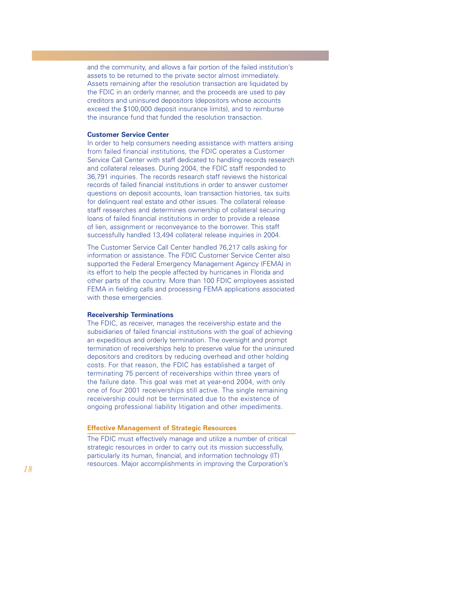and the community, and allows a fair portion of the failed institution's assets to be returned to the private sector almost immediately. Assets remaining after the resolution transaction are liquidated by the FDIC in an orderly manner, and the proceeds are used to pay creditors and uninsured depositors (depositors whose accounts exceed the \$100,000 deposit insurance limits), and to reimburse the insurance fund that funded the resolution transaction.

#### **Customer Service Center**

In order to help consumers needing assistance with matters arising from failed financial institutions, the FDIC operates a Customer Service Call Center with staff dedicated to handling records research and collateral releases. During 2004, the FDIC staff responded to 36,791 inquiries. The records research staff reviews the historical records of failed financial institutions in order to answer customer questions on deposit accounts, loan transaction histories, tax suits for delinquent real estate and other issues. The collateral release staff researches and determines ownership of collateral securing loans of failed financial institutions in order to provide a release of lien, assignment or reconveyance to the borrower. This staff successfully handled 13,494 collateral release inquiries in 2004.

The Customer Service Call Center handled 76,217 calls asking for information or assistance. The FDIC Customer Service Center also supported the Federal Emergency Management Agency (FEMA) in its effort to help the people affected by hurricanes in Florida and other parts of the country. More than 100 FDIC employees assisted FEMA in fielding calls and processing FEMA applications associated with these emergencies.

#### **Receivership Terminations**

The FDIC, as receiver, manages the receivership estate and the subsidiaries of failed financial institutions with the goal of achieving an expeditious and orderly termination. The oversight and prompt termination of receiverships help to preserve value for the uninsured depositors and creditors by reducing overhead and other holding costs. For that reason, the FDIC has established a target of terminating 75 percent of receiverships within three years of the failure date. This goal was met at year-end 2004, with only one of four 2001 receiverships still active. The single remaining receivership could not be terminated due to the existence of ongoing professional liability litigation and other impediments.

#### **Effective Management of Strategic Resources**

The FDIC must effectively manage and utilize a number of critical strategic resources in order to carry out its mission successfully, particularly its human, financial, and information technology (IT) resources. Major accomplishments in improving the Corporation's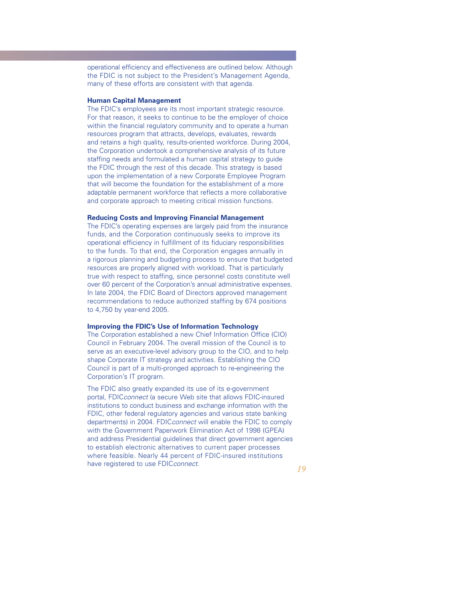operational efficiency and effectiveness are outlined below. Although the FDIC is not subject to the President's Management Agenda, many of these efforts are consistent with that agenda.

### **Human Capital Management**

The FDIC's employees are its most important strategic resource. For that reason, it seeks to continue to be the employer of choice within the financial regulatory community and to operate a human resources program that attracts, develops, evaluates, rewards and retains a high quality, results-oriented workforce. During 2004, the Corporation undertook a comprehensive analysis of its future staffing needs and formulated a human capital strategy to guide the FDIC through the rest of this decade. This strategy is based upon the implementation of a new Corporate Employee Program that will become the foundation for the establishment of a more adaptable permanent workforce that reflects a more collaborative and corporate approach to meeting critical mission functions.

### **Reducing Costs and Improving Financial Management**

The FDIC's operating expenses are largely paid from the insurance funds, and the Corporation continuously seeks to improve its operational efficiency in fulfillment of its fiduciary responsibilities to the funds. To that end, the Corporation engages annually in a rigorous planning and budgeting process to ensure that budgeted resources are properly aligned with workload. That is particularly true with respect to staffing, since personnel costs constitute well over 60 percent of the Corporation's annual administrative expenses. In late 2004, the FDIC Board of Directors approved management recommendations to reduce authorized staffing by 674 positions to 4,750 by year-end 2005.

### **Improving the FDIC's Use of Information Technology**

The Corporation established a new Chief Information Office (CIO) Council in February 2004. The overall mission of the Council is to serve as an executive-level advisory group to the CIO, and to help shape Corporate IT strategy and activities. Establishing the CIO Council is part of a multi-pronged approach to re-engineering the Corporation's IT program.

The FDIC also greatly expanded its use of its e-government portal, FDIC*connect* (a secure Web site that allows FDIC-insured institutions to conduct business and exchange information with the FDIC, other federal regulatory agencies and various state banking departments) in 2004. FDIC*connect* will enable the FDIC to comply with the Government Paperwork Elimination Act of 1998 (GPEA) and address Presidential guidelines that direct government agencies to establish electronic alternatives to current paper processes where feasible. Nearly 44 percent of FDIC-insured institutions have registered to use FDIC*connect*.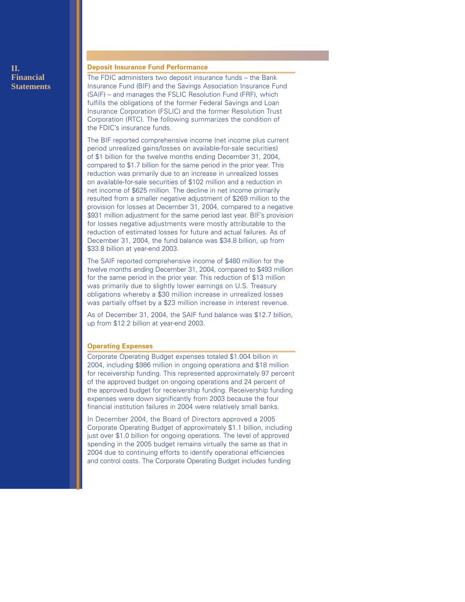## **II. Financial Statements**

## **Deposit Insurance Fund Performance**

The FDIC administers two deposit insurance funds – the Bank Insurance Fund (BIF) and the Savings Association Insurance Fund (SAIF) – and manages the FSLIC Resolution Fund (FRF), which fulfills the obligations of the former Federal Savings and Loan Insurance Corporation (FSLIC) and the former Resolution Trust Corporation (RTC). The following summarizes the condition of the FDIC's insurance funds.

The BIF reported comprehensive income (net income plus current period unrealized gains/losses on available-for-sale securities) of \$1 billion for the twelve months ending December 31, 2004, compared to \$1.7 billion for the same period in the prior year. This reduction was primarily due to an increase in unrealized losses on available-for-sale securities of \$102 million and a reduction in net income of \$625 million. The decline in net income primarily resulted from a smaller negative adjustment of \$269 million to the provision for losses at December 31, 2004, compared to a negative \$931 million adjustment for the same period last year. BIF's provision for losses negative adjustments were mostly attributable to the reduction of estimated losses for future and actual failures. As of December 31, 2004, the fund balance was \$34.8 billion, up from \$33.8 billion at year-end 2003.

The SAIF reported comprehensive income of \$480 million for the twelve months ending December 31, 2004, compared to \$493 million for the same period in the prior year. This reduction of \$13 million was primarily due to slightly lower earnings on U.S. Treasury obligations whereby a \$30 million increase in unrealized losses was partially offset by a \$23 million increase in interest revenue.

As of December 31, 2004, the SAIF fund balance was \$12.7 billion, up from \$12.2 billion at year-end 2003.

#### **Operating Expenses**

Corporate Operating Budget expenses totaled \$1.004 billion in 2004, including \$986 million in ongoing operations and \$18 million for receivership funding. This represented approximately 97 percent of the approved budget on ongoing operations and 24 percent of the approved budget for receivership funding. Receivership funding expenses were down significantly from 2003 because the four financial institution failures in 2004 were relatively small banks.

In December 2004, the Board of Directors approved a 2005 Corporate Operating Budget of approximately \$1.1 billion, including just over \$1.0 billion for ongoing operations. The level of approved spending in the 2005 budget remains virtually the same as that in 2004 due to continuing efforts to identify operational efficiencies and control costs. The Corporate Operating Budget includes funding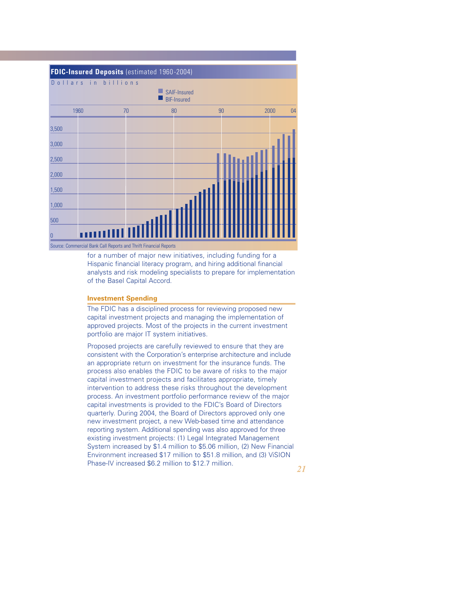

for a number of major new initiatives, including funding for a Hispanic financial literacy program, and hiring additional financial analysts and risk modeling specialists to prepare for implementation of the Basel Capital Accord.

#### **Investment Spending**

The FDIC has a disciplined process for reviewing proposed new capital investment projects and managing the implementation of approved projects. Most of the projects in the current investment portfolio are major IT system initiatives.

Proposed projects are carefully reviewed to ensure that they are consistent with the Corporation's enterprise architecture and include an appropriate return on investment for the insurance funds. The process also enables the FDIC to be aware of risks to the major capital investment projects and facilitates appropriate, timely intervention to address these risks throughout the development process. An investment portfolio performance review of the major capital investments is provided to the FDIC's Board of Directors quarterly. During 2004, the Board of Directors approved only one new investment project, a new Web-based time and attendance reporting system. Additional spending was also approved for three existing investment projects: (1) Legal Integrated Management System increased by \$1.4 million to \$5.06 million, (2) New Financial Environment increased \$17 million to \$51.8 million, and (3) ViSION Phase-IV increased \$6.2 million to \$12.7 million.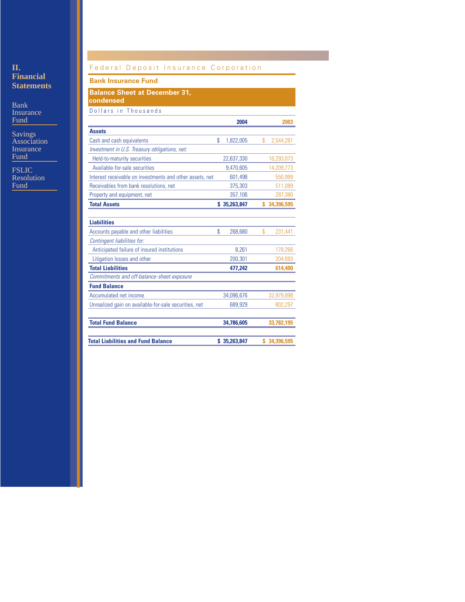## **II. Financial Statements**

Bank Insurance Fund

Savings Association **Insurance** Fund

**FSLIC** Resolution Fund

## Federal Deposit Insurance Corporation

## **Bank Insurance Fund**

**Balance Sheet at December 31, condensed** 

|                                                          | 2004            |    | 2003         |
|----------------------------------------------------------|-----------------|----|--------------|
| <b>Assets</b>                                            |                 |    |              |
| Cash and cash equivalents                                | \$<br>1,822,005 | \$ | 2,544,281    |
| Investment in U.S. Treasury obligations, net:            |                 |    |              |
| Held-to-maturity securities                              | 22,637,330      |    | 16,293,073   |
| Available-for-sale securities                            | 9,470,605       |    | 14,209,773   |
| Interest receivable on investments and other assets, net | 601,498         |    | 550,999      |
| Receivables from bank resolutions, net                   | 375,303         |    | 511,089      |
| Property and equipment, net                              | 357,106         |    | 287,380      |
| <b>Total Assets</b>                                      | \$35,263,847    | s. | 34,396,595   |
| <b>Liabilities</b>                                       |                 |    |              |
| Accounts payable and other liabilities                   | \$<br>268.680   | \$ | 231,441      |
| Contingent liabilities for:                              |                 |    |              |
| Anticipated failure of insured institutions              | 8.261           |    | 178,266      |
| Litigation losses and other                              | 200,301         |    | 204.693      |
| <b>Total Liabilities</b>                                 | 477,242         |    | 614,400      |
| Commitments and off-balance-sheet exposure               |                 |    |              |
| <b>Fund Balance</b>                                      |                 |    |              |
| Accumulated net income                                   | 34,096,676      |    | 32,979,898   |
| Unrealized gain on available-for-sale securities, net    | 689,929         |    | 802,297      |
| <b>Total Fund Balance</b>                                | 34,786,605      |    | 33,782,195   |
| <b>Total Liabilities and Fund Balance</b>                | \$35,263,847    |    | \$34,396,595 |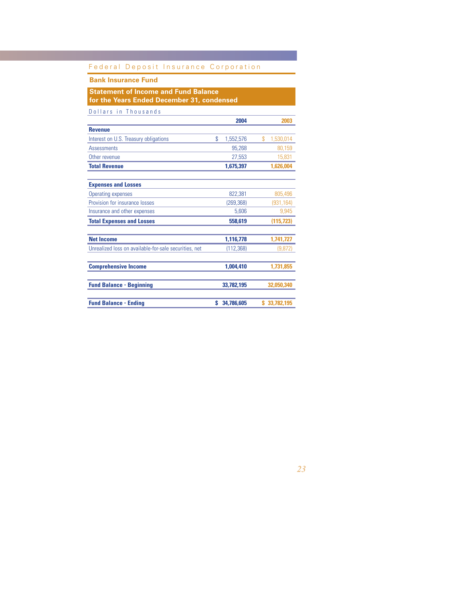## **Bank Insurance Fund**

## **Statement of Income and Fund Balance for the Years Ended December 31, condensed**

|                                                       |    | 2004       | 2003            |
|-------------------------------------------------------|----|------------|-----------------|
| <b>Revenue</b>                                        |    |            |                 |
| Interest on U.S. Treasury obligations                 | \$ | 1,552,576  | \$<br>1,530,014 |
| <b>Assessments</b>                                    |    | 95,268     | 80,159          |
| Other revenue                                         |    | 27,553     | 15,831          |
| <b>Total Revenue</b>                                  |    | 1,675,397  | 1,626,004       |
|                                                       |    |            |                 |
| <b>Expenses and Losses</b>                            |    |            |                 |
| <b>Operating expenses</b>                             |    | 822,381    | 805,496         |
| Provision for insurance losses                        |    | (269, 368) | (931,164)       |
| Insurance and other expenses                          |    | 5,606      | 9,945           |
| <b>Total Expenses and Losses</b>                      |    | 558,619    | (115, 723)      |
| <b>Net Income</b>                                     |    | 1,116,778  | 1,741,727       |
| Unrealized loss on available-for-sale securities, net |    | (112, 368) | (9.872)         |
| <b>Comprehensive Income</b>                           |    | 1,004,410  | 1,731,855       |
| <b>Fund Balance - Beginning</b>                       |    | 33,782,195 | 32,050,340      |
| <b>Fund Balance - Ending</b>                          | S  | 34,786,605 | \$33,782,195    |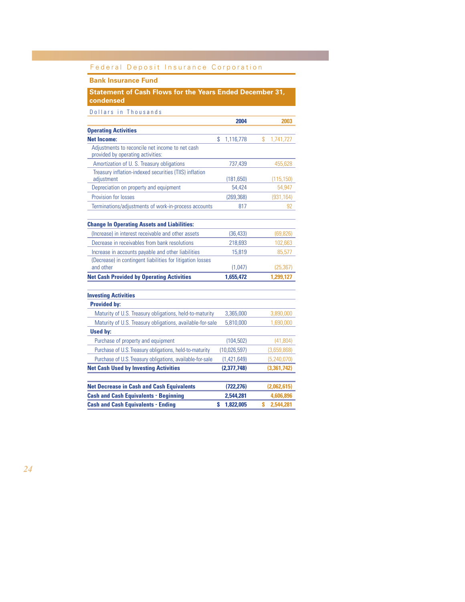## **Bank Insurance Fund**

**Statement of Cash Flows for the Years Ended December 31, condensed** 

|                                                                                      | 2004            | 2003            |
|--------------------------------------------------------------------------------------|-----------------|-----------------|
| <b>Operating Activities</b>                                                          |                 |                 |
| <b>Net Income:</b>                                                                   | \$<br>1,116,778 | \$<br>1,741,727 |
| Adjustments to reconcile net income to net cash<br>provided by operating activities: |                 |                 |
| Amortization of U.S. Treasury obligations                                            | 737,439         | 455,628         |
| Treasury inflation-indexed securities (TIIS) inflation<br>adjustment                 | (181, 650)      | (115, 150)      |
| Depreciation on property and equipment                                               | 54.424          | 54,947          |
| Provision for losses                                                                 | (269, 368)      | (931, 164)      |
| Terminations/adjustments of work-in-process accounts                                 | 817             | 92              |
| <b>Change In Operating Assets and Liabilities:</b>                                   |                 |                 |
| (Increase) in interest receivable and other assets                                   | (36, 433)       | (69, 826)       |
| Decrease in receivables from bank resolutions                                        | 218,693         | 102,663         |
| Increase in accounts payable and other liabilities                                   | 15,819          | 85,577          |
| (Decrease) in contingent liabilities for litigation losses<br>and other              | (1,047)         | (25, 367)       |
| <b>Net Cash Provided by Operating Activities</b>                                     | 1,655,472       | 1,299,127       |
|                                                                                      |                 |                 |
| <b>Investing Activities</b>                                                          |                 |                 |
| <b>Provided by:</b>                                                                  |                 |                 |
| Maturity of U.S. Treasury obligations, held-to-maturity                              | 3,365,000       | 3,890,000       |
| Maturity of U.S. Treasury obligations, available-for-sale                            | 5,810,000       | 1,690,000       |
| <b>Used by:</b>                                                                      |                 |                 |
| Purchase of property and equipment                                                   | (104, 502)      | (41, 804)       |
| Purchase of U.S. Treasury obligations, held-to-maturity                              | (10,026,597)    | (3,659,868)     |
| Purchase of U.S. Treasury obligations, available-for-sale                            | (1,421,649)     | (5,240,070)     |
| <b>Net Cash Used by Investing Activities</b>                                         | (2,377,748)     | (3,361,742)     |
|                                                                                      |                 |                 |
| <b>Net Decrease in Cash and Cash Equivalents</b>                                     | (722, 276)      | (2,062,615)     |
| <b>Cash and Cash Equivalents - Beginning</b>                                         | 2,544,281       | 4,606,896       |
| <b>Cash and Cash Equivalents - Ending</b>                                            | \$<br>1,822,005 | Ś<br>2.544.281  |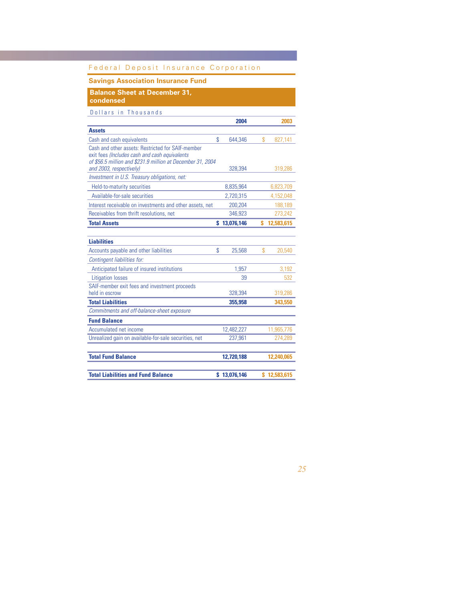## **Savings Association Insurance Fund**

**Balance Sheet at December 31,**

**condensed**

|                                                                                                                                                                                             | 2004          |    | 2003         |
|---------------------------------------------------------------------------------------------------------------------------------------------------------------------------------------------|---------------|----|--------------|
| <b>Assets</b>                                                                                                                                                                               |               |    |              |
| Cash and cash equivalents                                                                                                                                                                   | \$<br>644,346 | \$ | 827,141      |
| Cash and other assets: Restricted for SAIF-member<br>exit fees (Includes cash and cash equivalents<br>of \$56.5 million and \$231.9 million at December 31, 2004<br>and 2003, respectively) | 328,394       |    | 319,286      |
| Investment in U.S. Treasury obligations, net:                                                                                                                                               |               |    |              |
|                                                                                                                                                                                             |               |    |              |
| Held-to-maturity securities                                                                                                                                                                 | 8,835,964     |    | 6,823,709    |
| Available-for-sale securities                                                                                                                                                               | 2,720,315     |    | 4,152,048    |
| Interest receivable on investments and other assets, net                                                                                                                                    | 200,204       |    | 188,189      |
| Receivables from thrift resolutions, net                                                                                                                                                    | 346,923       |    | 273,242      |
| <b>Total Assets</b>                                                                                                                                                                         | \$13,076,146  | s  | 12,583,615   |
|                                                                                                                                                                                             |               |    |              |
| <b>Liabilities</b>                                                                                                                                                                          |               |    |              |
| Accounts payable and other liabilities                                                                                                                                                      | \$<br>25,568  | \$ | 20,540       |
| Contingent liabilities for:                                                                                                                                                                 |               |    |              |
| Anticipated failure of insured institutions                                                                                                                                                 | 1,957         |    | 3,192        |
| <b>Litigation losses</b>                                                                                                                                                                    | 39            |    | 532          |
| SAIF-member exit fees and investment proceeds<br>held in escrow                                                                                                                             | 328,394       |    | 319,286      |
| <b>Total Liabilities</b>                                                                                                                                                                    | 355,958       |    | 343,550      |
| Commitments and off-balance-sheet exposure                                                                                                                                                  |               |    |              |
| <b>Fund Balance</b>                                                                                                                                                                         |               |    |              |
| Accumulated net income                                                                                                                                                                      | 12,482,227    |    | 11,965,776   |
| Unrealized gain on available-for-sale securities, net                                                                                                                                       | 237,961       |    | 274,289      |
| <b>Total Fund Balance</b>                                                                                                                                                                   | 12,720,188    |    | 12,240,065   |
|                                                                                                                                                                                             |               |    |              |
| <b>Total Liabilities and Fund Balance</b>                                                                                                                                                   | \$13,076,146  |    | \$12,583,615 |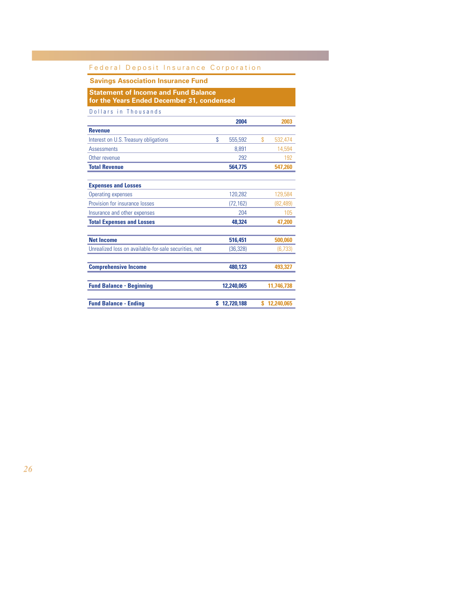## **Savings Association Insurance Fund**

## **Statement of Income and Fund Balance for the Years Ended December 31, condensed**

|                                                       |    | 2004       | 2003          |
|-------------------------------------------------------|----|------------|---------------|
| <b>Revenue</b>                                        |    |            |               |
| Interest on U.S. Treasury obligations                 | \$ | 555,592    | \$<br>532,474 |
| <b>Assessments</b>                                    |    | 8,891      | 14,594        |
| Other revenue                                         |    | 292        | 192           |
| <b>Total Revenue</b>                                  |    | 564,775    | 547,260       |
| <b>Expenses and Losses</b>                            |    |            |               |
| <b>Operating expenses</b>                             |    | 120,282    | 129,584       |
| Provision for insurance losses                        |    | (72, 162)  | (82,489)      |
| Insurance and other expenses                          |    | 204        | 105           |
| <b>Total Expenses and Losses</b>                      |    | 48,324     | 47,200        |
| <b>Net Income</b>                                     |    | 516,451    | 500,060       |
| Unrealized loss on available-for-sale securities, net |    | (36, 328)  | (6,733)       |
| <b>Comprehensive Income</b>                           |    | 480,123    | 493,327       |
| <b>Fund Balance - Beginning</b>                       |    | 12,240,065 | 11,746,738    |
| <b>Fund Balance - Ending</b>                          | s. | 12,720,188 | \$12,240,065  |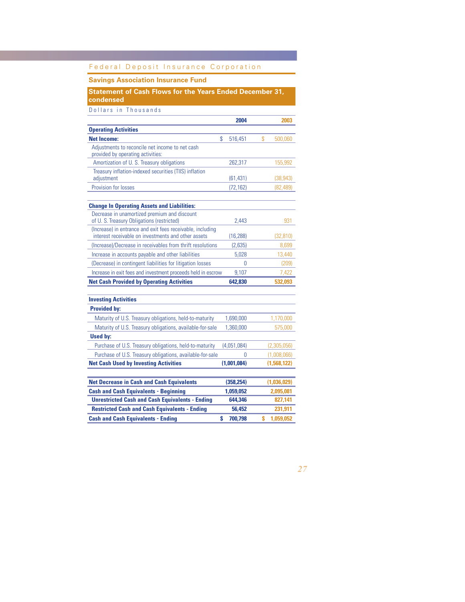## **Savings Association Insurance Fund**

## **Statement of Cash Flows for the Years Ended December 31, condensed**

|                                                                                                                   | 2004          | 2003            |
|-------------------------------------------------------------------------------------------------------------------|---------------|-----------------|
| <b>Operating Activities</b>                                                                                       |               |                 |
| <b>Net Income:</b>                                                                                                | \$<br>516,451 | \$<br>500,060   |
| Adjustments to reconcile net income to net cash<br>provided by operating activities:                              |               |                 |
| Amortization of U.S. Treasury obligations                                                                         | 262,317       | 155,992         |
| Treasury inflation-indexed securities (TIIS) inflation<br>adjustment                                              | (61, 431)     | (38, 943)       |
| Provision for losses                                                                                              | (72, 162)     | (82, 489)       |
|                                                                                                                   |               |                 |
| <b>Change In Operating Assets and Liabilities:</b>                                                                |               |                 |
| Decrease in unamortized premium and discount<br>of U. S. Treasury Obligations (restricted)                        | 2,443         | 931             |
| (Increase) in entrance and exit fees receivable, including<br>interest receivable on investments and other assets | (16, 288)     | (32, 810)       |
| (Increase)/Decrease in receivables from thrift resolutions                                                        | (2,635)       | 8,699           |
| Increase in accounts payable and other liabilities                                                                | 5.028         | 13,440          |
| (Decrease) in contingent liabilities for litigation losses                                                        | 0             | (209)           |
| Increase in exit fees and investment proceeds held in escrow                                                      | 9,107         | 7,422           |
| <b>Net Cash Provided by Operating Activities</b>                                                                  | 642,830       | 532,093         |
|                                                                                                                   |               |                 |
| <b>Investing Activities</b>                                                                                       |               |                 |
| <b>Provided bv:</b>                                                                                               |               |                 |
| Maturity of U.S. Treasury obligations, held-to-maturity                                                           | 1,690,000     | 1,170,000       |
| Maturity of U.S. Treasury obligations, available-for-sale                                                         | 1,360,000     | 575,000         |
| <b>Used by:</b>                                                                                                   |               |                 |
| Purchase of U.S. Treasury obligations, held-to-maturity                                                           | (4,051,084)   | (2,305,056)     |
| Purchase of U.S. Treasury obligations, available-for-sale                                                         | 0             | (1,008,066)     |
| <b>Net Cash Used by Investing Activities</b>                                                                      | (1,001,084)   | (1,568,122)     |
|                                                                                                                   |               |                 |
| <b>Net Decrease in Cash and Cash Equivalents</b>                                                                  | (358, 254)    | (1,036,029)     |
| <b>Cash and Cash Equivalents - Beginning</b>                                                                      | 1,059,052     | 2,095,081       |
| <b>Unrestricted Cash and Cash Equivalents - Ending</b>                                                            | 644.346       | 827,141         |
| <b>Restricted Cash and Cash Equivalents - Ending</b>                                                              | 56.452        | 231,911         |
| <b>Cash and Cash Equivalents - Ending</b>                                                                         | S<br>700,798  | 1.059.052<br>\$ |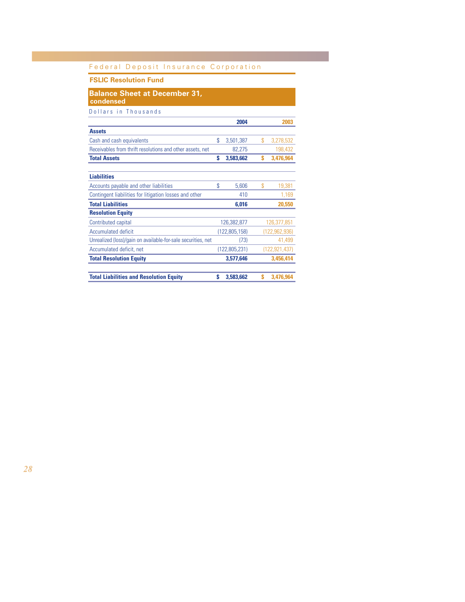## **FSLIC Resolution Fund**

## **Balance Sheet at December 31, condensed**

|                                                              |    | 2004          |    | 2003          |
|--------------------------------------------------------------|----|---------------|----|---------------|
| <b>Assets</b>                                                |    |               |    |               |
| Cash and cash equivalents                                    | \$ | 3,501,387     | \$ | 3,278,532     |
| Receivables from thrift resolutions and other assets, net    |    | 82,275        |    | 198,432       |
| <b>Total Assets</b>                                          | s  | 3,583,662     | S  | 3.476.964     |
|                                                              |    |               |    |               |
| <b>Liabilities</b>                                           |    |               |    |               |
| Accounts payable and other liabilities                       | \$ | 5,606         | \$ | 19,381        |
| Contingent liabilities for litigation losses and other       |    | 410           |    | 1,169         |
| <b>Total Liabilities</b>                                     |    | 6.016         |    | 20,550        |
| <b>Resolution Equity</b>                                     |    |               |    |               |
| Contributed capital                                          |    | 126,382,877   |    | 126.377.851   |
| Accumulated deficit                                          |    | (122,805,158) |    | (122,962,936) |
| Unrealized (loss)/gain on available-for-sale securities, net |    | (73)          |    | 41,499        |
| Accumulated deficit, net                                     |    | (122,805,231) |    | (122,921,437) |
| <b>Total Resolution Equity</b>                               |    | 3,577,646     |    | 3.456.414     |
|                                                              |    |               |    |               |
| <b>Total Liabilities and Resolution Equity</b>               | S  | 3,583,662     | S  | 3.476.964     |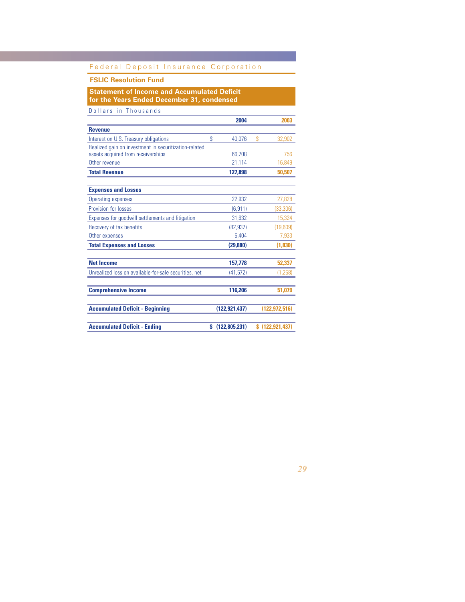## **FSLIC Resolution Fund**

**Statement of Income and Accumulated Deficit for the Years Ended December 31, condensed**

|                                                       | 2004            | 2003              |
|-------------------------------------------------------|-----------------|-------------------|
| <b>Revenue</b>                                        |                 |                   |
| Interest on U.S. Treasury obligations                 | \$<br>40,076    | \$<br>32,902      |
| Realized gain on investment in securitization-related |                 |                   |
| assets acquired from receiverships                    | 66,708          | 756               |
| Other revenue                                         | 21,114          | 16,849            |
| <b>Total Revenue</b>                                  | 127,898         | 50,507            |
| <b>Expenses and Losses</b>                            |                 |                   |
| <b>Operating expenses</b>                             | 22,932          | 27,828            |
| Provision for losses                                  | (6, 911)        | (33, 306)         |
| Expenses for goodwill settlements and litigation      | 31,632          | 15,324            |
| Recovery of tax benefits                              | (82, 937)       | (19,609)          |
| Other expenses                                        | 5.404           | 7,933             |
| <b>Total Expenses and Losses</b>                      | (29, 880)       | (1,830)           |
| <b>Net Income</b>                                     | 157,778         | 52,337            |
| Unrealized loss on available-for-sale securities, net | (41, 572)       | (1,258)           |
| <b>Comprehensive Income</b>                           | 116,206         | 51,079            |
|                                                       |                 |                   |
| <b>Accumulated Deficit - Beginning</b>                | (122, 921, 437) | (122, 972, 516)   |
| <b>Accumulated Deficit - Ending</b>                   | \$(122,805,231) | \$(122, 921, 437) |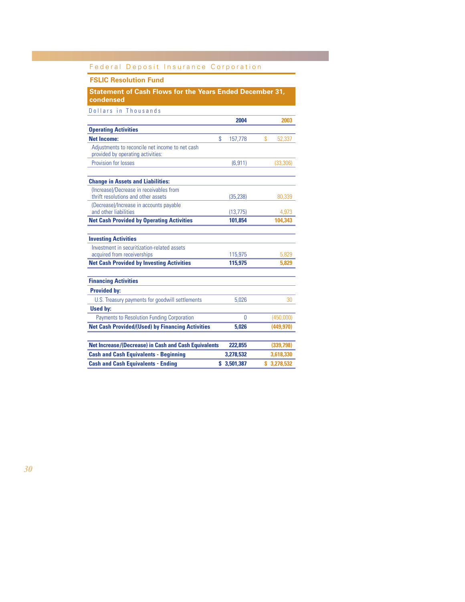## **FSLIC Resolution Fund**

**Statement of Cash Flows for the Years Ended December 31, condensed**

|                                                                                      | 2004          | 2003         |
|--------------------------------------------------------------------------------------|---------------|--------------|
| <b>Operating Activities</b>                                                          |               |              |
| <b>Net Income:</b>                                                                   | \$<br>157,778 | \$<br>52,337 |
| Adjustments to reconcile net income to net cash<br>provided by operating activities: |               |              |
| Provision for losses                                                                 | (6, 911)      | (33, 306)    |
| <b>Change in Assets and Liabilities:</b>                                             |               |              |
| (Increase)/Decrease in receivables from<br>thrift resolutions and other assets       | (35, 238)     | 80.339       |
| (Decrease)/Increase in accounts payable<br>and other liabilities                     | (13, 775)     | 4,973        |
| <b>Net Cash Provided by Operating Activities</b>                                     | 101.854       | 104.343      |
| <b>Investing Activities</b>                                                          |               |              |
| Investment in securitization-related assets<br>acquired from receiverships           | 115,975       | 5,829        |
| <b>Net Cash Provided by Investing Activities</b>                                     | 115,975       | 5,829        |
| <b>Financing Activities</b>                                                          |               |              |
| <b>Provided by:</b>                                                                  |               |              |
| U.S. Treasury payments for goodwill settlements                                      | 5.026         | 30           |
| <b>Used by:</b>                                                                      |               |              |
| Payments to Resolution Funding Corporation                                           | Ŋ             | (450,000)    |
| <b>Net Cash Provided/(Used) by Financing Activities</b>                              | 5.026         | (449, 970)   |
|                                                                                      |               |              |
| <b>Net Increase/(Decrease) in Cash and Cash Equivalents</b>                          | 222,855       | (339,798)    |
| <b>Cash and Cash Equivalents - Beginning</b>                                         | 3,278,532     | 3,618,330    |
| <b>Cash and Cash Equivalents - Ending</b>                                            | \$3,501,387   | \$3,278,532  |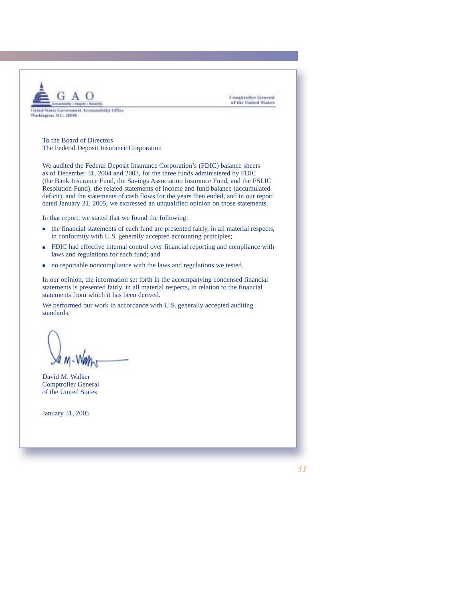

**Comptroller General** of the United States

To the Board of Directors The Federal Deposit Insurance Corporation

We audited the Federal Deposit Insurance Corporation's (FDIC) balance sheets as of December 31, 2004 and 2003, for the three funds administered by FDIC (the Bank Insurance Fund, the Savings Association Insurance Fund, and the FSLIC Resolution Fund), the related statements of income and fund balance (accumulated deficit), and the statements of cash flows for the years then ended, and in our report dated January 31, 2005, we expressed an unqualified opinion on those statements.

In that report, we stated that we found the following:

- $\bullet$  the financial statements of each fund are presented fairly, in all material respects, in conformity with U.S. generally accepted accounting principles;
- FDIC had effective internal control over financial reporting and compliance with laws and regulations for each fund; and
- no reportable noncompliance with the laws and regulations we tested.

In our opinion, the information set forth in the accompanying condensed financial statements is presented fairly, in all material respects, in relation to the financial statements from which it has been derived.

We performed our work in accordance with U.S. generally accepted auditing standards.

David M. Walker Comptroller General of the United States

January 31, 2005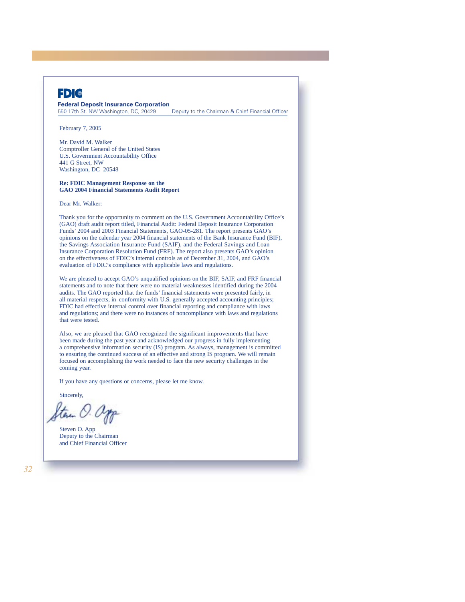## **FD**

**Federal Deposit Insurance Corporation**<br>550 17th St. NW Washington, DC, 20429

Deputy to the Chairman & Chief Financial Officer

February 7, 2005

Mr. David M. Walker Comptroller General of the United States U.S. Government Accountability Office 441 G Street, NW Washington, DC 20548

#### **Re: FDIC Management Response on the GAO 2004 Financial Statements Audit Report**

Dear Mr. Walker:

Thank you for the opportunity to comment on the U.S. Government Accountability Office's (GAO) draft audit report titled, Financial Audit: Federal Deposit Insurance Corporation Funds' 2004 and 2003 Financial Statements, GAO-05-281. The report presents GAO's opinions on the calendar year 2004 financial statements of the Bank Insurance Fund (BIF), the Savings Association Insurance Fund (SAIF), and the Federal Savings and Loan Insurance Corporation Resolution Fund (FRF). The report also presents GAO's opinion on the effectiveness of FDIC's internal controls as of December 31, 2004, and GAO's evaluation of FDIC's compliance with applicable laws and regulations.

We are pleased to accept GAO's unqualified opinions on the BIF, SAIF, and FRF financial statements and to note that there were no material weaknesses identified during the 2004 audits. The GAO reported that the funds' financial statements were presented fairly, in all material respects, in conformity with U.S. generally accepted accounting principles; FDIC had effective internal control over financial reporting and compliance with laws and regulations; and there were no instances of noncompliance with laws and regulations that were tested.

Also, we are pleased that GAO recognized the significant improvements that have been made during the past year and acknowledged our progress in fully implementing a comprehensive information security (IS) program. As always, management is committed to ensuring the continued success of an effective and strong IS program. We will remain focused on accomplishing the work needed to face the new security challenges in the coming year.

If you have any questions or concerns, please let me know.

Sincerely,

tem O. app

Steven O. App Deputy to the Chairman and Chief Financial Officer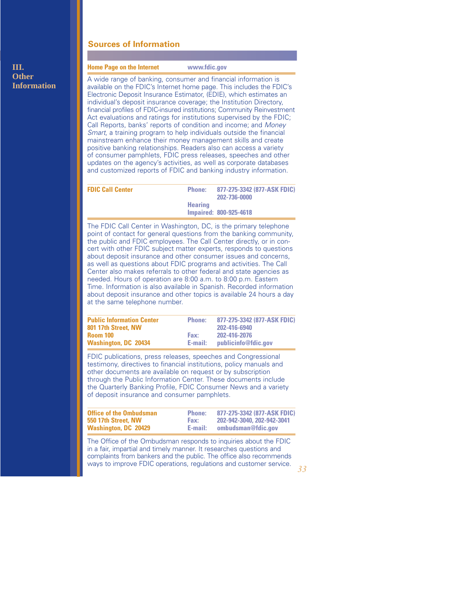## **Sources of Information**

## **Home Page on the Internet www.fdic.gov**

A wide range of banking, consumer and financial information is available on the FDIC's Internet home page. This includes the FDIC's Electronic Deposit Insurance Estimator, (EDIE), which estimates an individual's deposit insurance coverage; the Institution Directory, financial profiles of FDIC-insured institutions; Community Reinvestment Act evaluations and ratings for institutions supervised by the FDIC; Call Reports, banks' reports of condition and income; and *Money Smart*, a training program to help individuals outside the financial mainstream enhance their money management skills and create positive banking relationships. Readers also can access a variety of consumer pamphlets, FDIC press releases, speeches and other updates on the agency's activities, as well as corporate databases and customized reports of FDIC and banking industry information.

| <b>FDIC Call Center</b> | <b>Phone:</b>  | 877-275-3342 (877-ASK FDIC)<br>202-736-0000 |
|-------------------------|----------------|---------------------------------------------|
|                         | <b>Hearing</b> | <b>Impaired: 800-925-4618</b>               |
|                         |                |                                             |

The FDIC Call Center in Washington, DC, is the primary telephone point of contact for general questions from the banking community, the public and FDIC employees. The Call Center directly, or in concert with other FDIC subject matter experts, responds to questions about deposit insurance and other consumer issues and concerns, as well as questions about FDIC programs and activities. The Call Center also makes referrals to other federal and state agencies as needed. Hours of operation are 8:00 a.m. to 8:00 p.m. Eastern Time. Information is also available in Spanish. Recorded information about deposit insurance and other topics is available 24 hours a day at the same telephone number.

| <b>Public Information Center</b> | <b>Phone:</b> | 877-275-3342 (877-ASK FDIC) |
|----------------------------------|---------------|-----------------------------|
| 801 17th Street. NW              |               | 202-416-6940                |
| Room 100                         | Fax:          | 202-416-2076                |
| <b>Washington, DC 20434</b>      | E-mail:       | publicinfo@fdic.gov         |

FDIC publications, press releases, speeches and Congressional testimony, directives to financial institutions, policy manuals and other documents are available on request or by subscription through the Public Information Center. These documents include the Quarterly Banking Profile, FDIC Consumer News and a variety of deposit insurance and consumer pamphlets.

| <b>Office of the Ombudsman</b> | <b>Phone:</b> | 877-275-3342 (877-ASK FDIC) |
|--------------------------------|---------------|-----------------------------|
| 550 17th Street. NW            | Fax:          | 202-942-3040, 202-942-3041  |
| <b>Washington, DC 20429</b>    | E-mail:       | ombudsman@fdic.gov          |

The Office of the Ombudsman responds to inquiries about the FDIC in a fair, impartial and timely manner. It researches questions and complaints from bankers and the public. The office also recommends ways to improve FDIC operations, regulations and customer service.

## **III. Other Information**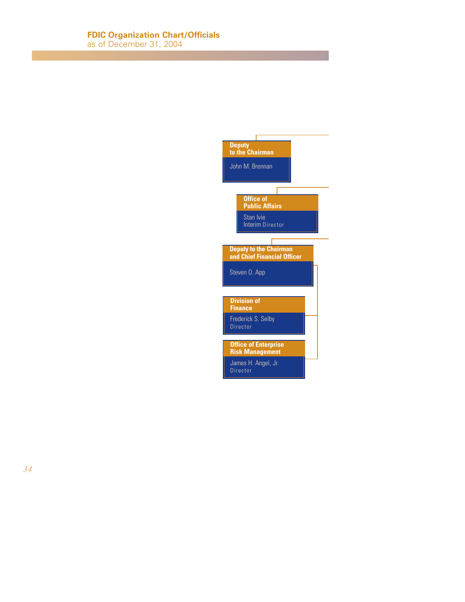## **FDIC Organization Chart/Officials**

as of December 31, 2004

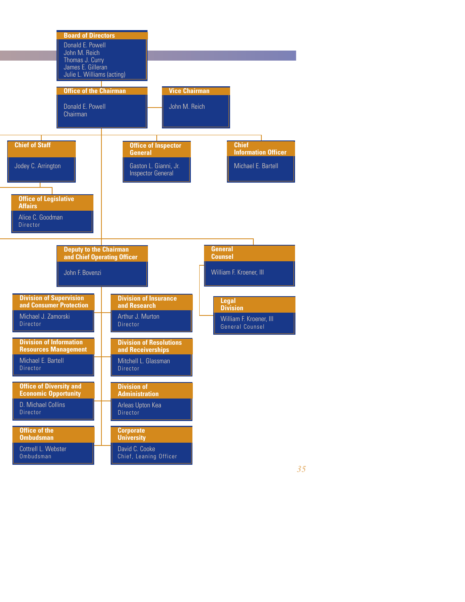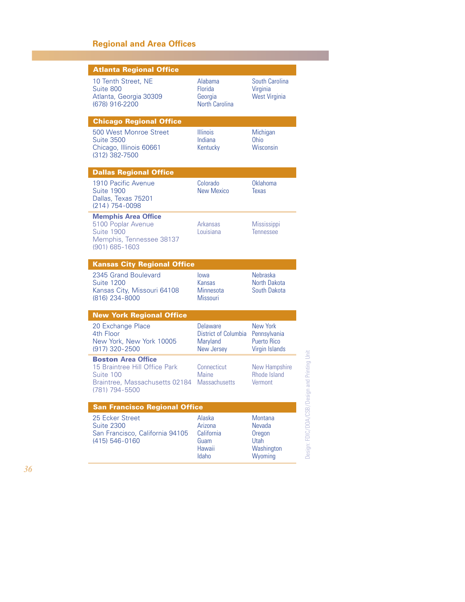## **Regional and Area Offices**

| <b>Atlanta Regional Office</b>                                                                                              |                                                            |                                                           |
|-----------------------------------------------------------------------------------------------------------------------------|------------------------------------------------------------|-----------------------------------------------------------|
| 10 Tenth Street, NE<br>Suite 800<br>Atlanta, Georgia 30309<br>(678) 916-2200                                                | Alabama<br>Florida<br>Georgia<br>North Carolina            | South Carolina<br>Virginia<br><b>West Virginia</b>        |
| <b>Chicago Regional Office</b>                                                                                              |                                                            |                                                           |
| 500 West Monroe Street<br><b>Suite 3500</b><br>Chicago, Illinois 60661<br>(312) 382-7500                                    | <b>Illinois</b><br>Indiana<br>Kentucky                     | Michigan<br><b>Ohio</b><br>Wisconsin                      |
| <b>Dallas Regional Office</b>                                                                                               |                                                            |                                                           |
| 1910 Pacific Avenue<br><b>Suite 1900</b><br>Dallas, Texas 75201<br>(214) 754-0098                                           | Colorado<br>New Mexico                                     | Oklahoma<br>Texas                                         |
| <b>Memphis Area Office</b><br>5100 Poplar Avenue<br>Suite 1900<br>Memphis, Tennessee 38137<br>(901) 685-1603                | Arkansas<br>Louisiana                                      | Mississippi<br>Tennessee                                  |
| <b>Kansas City Regional Office</b>                                                                                          |                                                            |                                                           |
|                                                                                                                             |                                                            |                                                           |
| 2345 Grand Boulevard<br><b>Suite 1200</b><br>Kansas City, Missouri 64108<br>(816) 234-8000                                  | lowa<br>Kansas<br>Minnesota<br>Missouri                    | Nebraska<br>North Dakota<br>South Dakota                  |
| <b>New York Regional Office</b>                                                                                             |                                                            |                                                           |
| 20 Exchange Place<br>4th Floor<br>New York, New York 10005<br>(917) 320-2500                                                | Delaware<br>District of Columbia<br>Maryland<br>New Jersey | New York<br>Pennsylvania<br>Puerto Rico<br>Virgin Islands |
| <b>Boston Area Office</b><br>15 Braintree Hill Office Park<br>Suite 100<br>Braintree, Massachusetts 02184<br>(781) 794-5500 | Connecticut<br><b>Maine</b><br>Massachusetts               | <b>New Hampshire</b><br><b>Rhode Island</b><br>Vermont    |
| <b>San Francisco Regional Office</b>                                                                                        |                                                            |                                                           |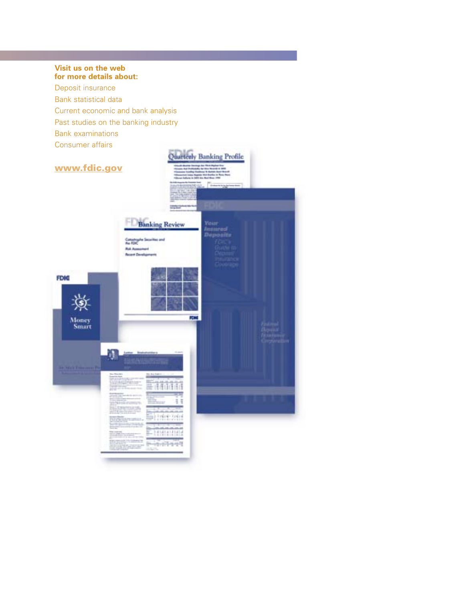# **Visit us on the web for more details about:** Deposit insurance Bank statistical data Current economic and bank analysis Past studies on the banking industry Bank examinations Consumer affairs Quarterly Banking Profile **www.fdic.govBanking Review** Coloning<br>Ma FOIC **But Au Burgund Cl** FDIG **FORD** Money<br>Smart a ŧ τ Informació 41414141 0-070-0-071